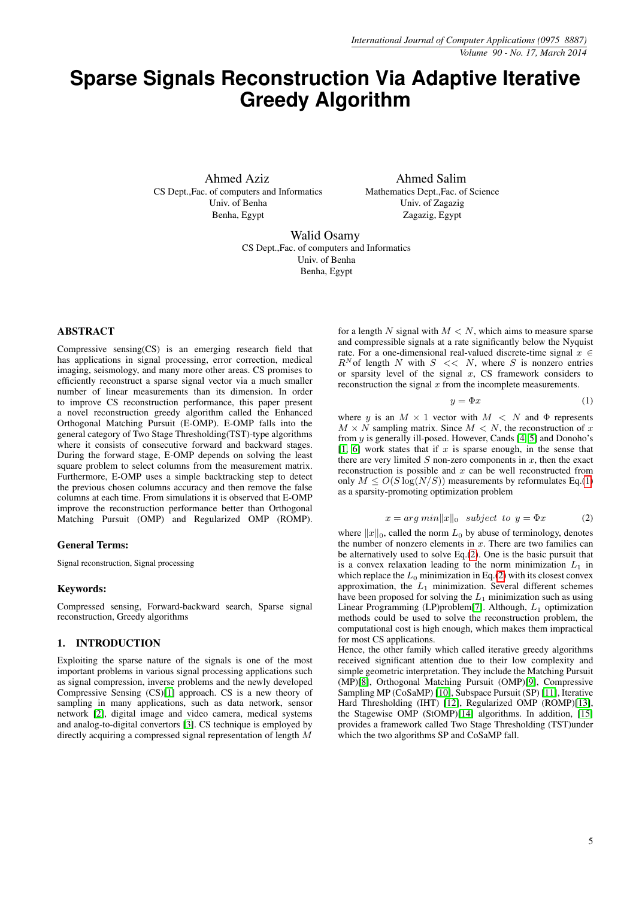# <span id="page-0-2"></span>**Sparse Signals Reconstruction Via Adaptive Iterative Greedy Algorithm**

Ahmed Aziz CS Dept.,Fac. of computers and Informatics Univ. of Benha Benha, Egypt

Ahmed Salim Mathematics Dept.,Fac. of Science Univ. of Zagazig Zagazig, Egypt

Walid Osamy CS Dept.,Fac. of computers and Informatics Univ. of Benha Benha, Egypt

## ABSTRACT

Compressive sensing(CS) is an emerging research field that has applications in signal processing, error correction, medical imaging, seismology, and many more other areas. CS promises to efficiently reconstruct a sparse signal vector via a much smaller number of linear measurements than its dimension. In order to improve CS reconstruction performance, this paper present a novel reconstruction greedy algorithm called the Enhanced Orthogonal Matching Pursuit (E-OMP). E-OMP falls into the general category of Two Stage Thresholding(TST)-type algorithms where it consists of consecutive forward and backward stages. During the forward stage, E-OMP depends on solving the least square problem to select columns from the measurement matrix. Furthermore, E-OMP uses a simple backtracking step to detect the previous chosen columns accuracy and then remove the false columns at each time. From simulations it is observed that E-OMP improve the reconstruction performance better than Orthogonal Matching Pursuit (OMP) and Regularized OMP (ROMP).

#### General Terms:

Signal reconstruction, Signal processing

#### Keywords:

Compressed sensing, Forward-backward search, Sparse signal reconstruction, Greedy algorithms

#### 1. INTRODUCTION

Exploiting the sparse nature of the signals is one of the most important problems in various signal processing applications such as signal compression, inverse problems and the newly developed Compressive Sensing (CS)[\[1\]](#page-5-0) approach. CS is a new theory of sampling in many applications, such as data network, sensor network [\[2\]](#page-5-1), digital image and video camera, medical systems and analog-to-digital convertors [\[3\]](#page-5-2). CS technique is employed by directly acquiring a compressed signal representation of length M

for a length N signal with  $M < N$ , which aims to measure sparse and compressible signals at a rate significantly below the Nyquist rate. For a one-dimensional real-valued discrete-time signal  $x \in$  $R^N$  of length N with  $S \ll N$ , where S is nonzero entries or sparsity level of the signal  $x$ , CS framework considers to reconstruction the signal  $x$  from the incomplete measurements.

<span id="page-0-0"></span>
$$
y = \Phi x \tag{1}
$$

where y is an  $M \times 1$  vector with  $M \leq N$  and  $\Phi$  represents  $M \times N$  sampling matrix. Since  $M \times N$ , the reconstruction of x from  $y$  is generally ill-posed. However, Cands  $[4, 5]$  $[4, 5]$  and Donoho's [\[1,](#page-5-0) [6\]](#page-5-5) work states that if  $x$  is sparse enough, in the sense that there are very limited  $S$  non-zero components in  $x$ , then the exact reconstruction is possible and  $x$  can be well reconstructed from only  $M \leq O(S \log(N/S))$  measurements by reformulates Eq.[\(1\)](#page-0-0) as a sparsity-promoting optimization problem

$$
x = arg min ||x||_0 \text{ subject to } y = \Phi x \tag{2}
$$

<span id="page-0-1"></span>where  $||x||_0$ , called the norm  $L_0$  by abuse of terminology, denotes the number of nonzero elements in  $x$ . There are two families can be alternatively used to solve Eq.[\(2\)](#page-0-1). One is the basic pursuit that is a convex relaxation leading to the norm minimization  $L_1$  in which replace the  $L_0$  minimization in Eq.[\(2\)](#page-0-1) with its closest convex approximation, the  $L_1$  minimization. Several different schemes have been proposed for solving the  $L_1$  minimization such as using Linear Programming (LP)problem[\[7\]](#page-5-6). Although,  $L_1$  optimization methods could be used to solve the reconstruction problem, the computational cost is high enough, which makes them impractical for most CS applications.

Hence, the other family which called iterative greedy algorithms received significant attention due to their low complexity and simple geometric interpretation. They include the Matching Pursuit (MP)[\[8\]](#page-5-7), Orthogonal Matching Pursuit (OMP)[\[9\]](#page-6-0), Compressive Sampling MP (CoSaMP) [\[10\]](#page-6-1), Subspace Pursuit (SP) [\[11\]](#page-6-2), Iterative Hard Thresholding (IHT) [\[12\]](#page-6-3), Regularized OMP (ROMP)[\[13\]](#page-6-4), the Stagewise OMP (StOMP)[\[14\]](#page-6-5) algorithms. In addition, [\[15\]](#page-6-6) provides a framework called Two Stage Thresholding (TST)under which the two algorithms SP and CoSaMP fall.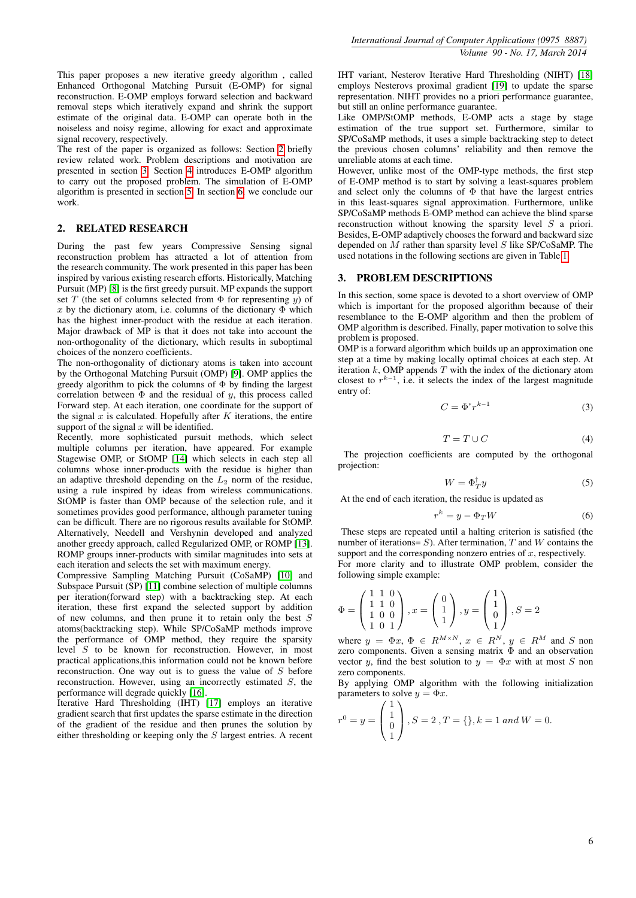This paper proposes a new iterative greedy algorithm , called Enhanced Orthogonal Matching Pursuit (E-OMP) for signal reconstruction. E-OMP employs forward selection and backward removal steps which iteratively expand and shrink the support estimate of the original data. E-OMP can operate both in the noiseless and noisy regime, allowing for exact and approximate signal recovery, respectively.

The rest of the paper is organized as follows: Section [2](#page-1-0) briefly review related work. Problem descriptions and motivation are presented in section [3.](#page-1-1) Section [4](#page-2-0) introduces E-OMP algorithm to carry out the proposed problem. The simulation of E-OMP algorithm is presented in section [5.](#page-3-0) In section [6,](#page-5-8) we conclude our work.

## <span id="page-1-0"></span>2. RELATED RESEARCH

During the past few years Compressive Sensing signal reconstruction problem has attracted a lot of attention from the research community. The work presented in this paper has been inspired by various existing research efforts. Historically, Matching Pursuit (MP) [\[8\]](#page-5-7) is the first greedy pursuit. MP expands the support set T (the set of columns selected from  $\Phi$  for representing y) of x by the dictionary atom, i.e. columns of the dictionary  $\Phi$  which has the highest inner-product with the residue at each iteration. Major drawback of MP is that it does not take into account the non-orthogonality of the dictionary, which results in suboptimal choices of the nonzero coefficients.

The non-orthogonality of dictionary atoms is taken into account by the Orthogonal Matching Pursuit (OMP) [\[9\]](#page-6-0). OMP applies the greedy algorithm to pick the columns of  $\Phi$  by finding the largest correlation between  $\Phi$  and the residual of y, this process called Forward step. At each iteration, one coordinate for the support of the signal  $x$  is calculated. Hopefully after K iterations, the entire support of the signal  $x$  will be identified.

Recently, more sophisticated pursuit methods, which select multiple columns per iteration, have appeared. For example Stagewise OMP, or StOMP [\[14\]](#page-6-5) which selects in each step all columns whose inner-products with the residue is higher than an adaptive threshold depending on the  $L_2$  norm of the residue, using a rule inspired by ideas from wireless communications. StOMP is faster than OMP because of the selection rule, and it sometimes provides good performance, although parameter tuning can be difficult. There are no rigorous results available for StOMP. Alternatively, Needell and Vershynin developed and analyzed another greedy approach, called Regularized OMP, or ROMP [\[13\]](#page-6-4). ROMP groups inner-products with similar magnitudes into sets at each iteration and selects the set with maximum energy.

Compressive Sampling Matching Pursuit (CoSaMP) [\[10\]](#page-6-1) and Subspace Pursuit (SP) [\[11\]](#page-6-2) combine selection of multiple columns per iteration(forward step) with a backtracking step. At each iteration, these first expand the selected support by addition of new columns, and then prune it to retain only the best S atoms(backtracking step). While SP/CoSaMP methods improve the performance of OMP method, they require the sparsity level S to be known for reconstruction. However, in most practical applications,this information could not be known before reconstruction. One way out is to guess the value of S before reconstruction. However, using an incorrectly estimated S, the performance will degrade quickly [\[16\]](#page-6-7).

Iterative Hard Thresholding (IHT) [\[17\]](#page-6-8) employs an iterative gradient search that first updates the sparse estimate in the direction of the gradient of the residue and then prunes the solution by either thresholding or keeping only the S largest entries. A recent IHT variant, Nesterov Iterative Hard Thresholding (NIHT) [\[18\]](#page-6-9) employs Nesterovs proximal gradient [\[19\]](#page-6-10) to update the sparse representation. NIHT provides no a priori performance guarantee, but still an online performance guarantee.

Like OMP/StOMP methods, E-OMP acts a stage by stage estimation of the true support set. Furthermore, similar to SP/CoSaMP methods, it uses a simple backtracking step to detect the previous chosen columns' reliability and then remove the unreliable atoms at each time.

However, unlike most of the OMP-type methods, the first step of E-OMP method is to start by solving a least-squares problem and select only the columns of  $\Phi$  that have the largest entries in this least-squares signal approximation. Furthermore, unlike SP/CoSaMP methods E-OMP method can achieve the blind sparse reconstruction without knowing the sparsity level S a priori. Besides, E-OMP adaptively chooses the forward and backward size depended on  $M$  rather than sparsity level  $S$  like SP/CoSaMP. The used notations in the following sections are given in Table [1.](#page-2-1)

## <span id="page-1-1"></span>3. PROBLEM DESCRIPTIONS

In this section, some space is devoted to a short overview of OMP which is important for the proposed algorithm because of their resemblance to the E-OMP algorithm and then the problem of OMP algorithm is described. Finally, paper motivation to solve this problem is proposed.

OMP is a forward algorithm which builds up an approximation one step at a time by making locally optimal choices at each step. At iteration  $k$ , OMP appends  $T$  with the index of the dictionary atom closest to  $r^{k-1}$ , i.e. it selects the index of the largest magnitude entry of:

$$
C = \Phi^* r^{k-1} \tag{3}
$$

$$
T = T \cup C \tag{4}
$$

The projection coefficients are computed by the orthogonal projection:

$$
W = \Phi_T^{\dagger} y \tag{5}
$$

At the end of each iteration, the residue is updated as

$$
r^k = y - \Phi_T W \tag{6}
$$

These steps are repeated until a halting criterion is satisfied (the number of iterations=  $S$ ). After termination,  $T$  and  $W$  contains the support and the corresponding nonzero entries of  $x$ , respectively. For more clarity and to illustrate OMP problem, consider the

following simple example:

$$
\Phi = \begin{pmatrix} 1 & 1 & 0 \\ 1 & 1 & 0 \\ 1 & 0 & 0 \\ 1 & 0 & 1 \end{pmatrix}, x = \begin{pmatrix} 0 \\ 1 \\ 1 \end{pmatrix}, y = \begin{pmatrix} 1 \\ 1 \\ 0 \\ 1 \end{pmatrix}, S = 2
$$

where  $y = \Phi x, \Phi \in R^{M \times N}, x \in R^N, y \in R^M$  and S non zero components. Given a sensing matrix  $\Phi$  and an observation vector y, find the best solution to  $y = \Phi x$  with at most S non zero components.

By applying OMP algorithm with the following initialization parameters to solve  $y = \Phi x$ .

$$
r^0 = y = \begin{pmatrix} 1 \\ 1 \\ 0 \\ 1 \end{pmatrix}, S = 2, T = \{\}, k = 1 \text{ and } W = 0.
$$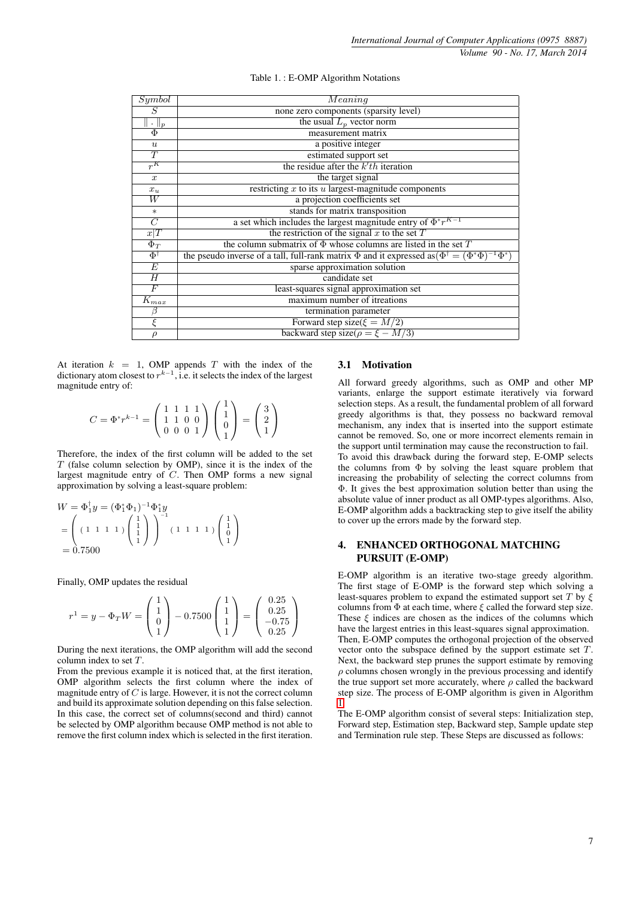<span id="page-2-1"></span>

| Symbol               | Meaning                                                                                                                  |  |
|----------------------|--------------------------------------------------------------------------------------------------------------------------|--|
| S                    | none zero components (sparsity level)                                                                                    |  |
| $\cdot \parallel_p$  | the usual $L_p$ vector norm                                                                                              |  |
| $\overline{\Phi}$    | measurement matrix                                                                                                       |  |
| $\boldsymbol{u}$     | a positive integer                                                                                                       |  |
| $\overline{T}$       | estimated support set                                                                                                    |  |
| $\overline{r^{K}}$   | the residue after the $k'th$ iteration                                                                                   |  |
| $\boldsymbol{x}$     | the target signal                                                                                                        |  |
| $x_u$                | restricting $x$ to its $u$ largest-magnitude components                                                                  |  |
| $\overline{W}$       | a projection coefficients set                                                                                            |  |
| $\ast$               | stands for matrix transposition                                                                                          |  |
| $\overline{C}$       | a set which includes the largest magnitude entry of $\Phi^* r^{K-1}$                                                     |  |
| x T                  | the restriction of the signal $x$ to the set $T$                                                                         |  |
| $\Phi_T$             | the column submatrix of $\Phi$ whose columns are listed in the set T                                                     |  |
| $\Phi^\dagger$       | the pseudo inverse of a tall, full-rank matrix $\Phi$ and it expressed as $(\Phi^{\dagger} = (\Phi^* \Phi)^{-1} \Phi^*)$ |  |
| $\overline{E}$       | sparse approximation solution                                                                                            |  |
| H                    | candidate set                                                                                                            |  |
| $\overline F$        | least-squares signal approximation set                                                                                   |  |
| $K_{\underbar{max}}$ | maximum number of itreations                                                                                             |  |
| β                    | termination parameter                                                                                                    |  |
| ξ                    | Forward step size( $\xi = M/2$ )                                                                                         |  |
| $\rho$               | backward step size( $\rho = \xi - M/3$ )                                                                                 |  |

| Table 1.: E-OMP Algorithm Notations |  |  |
|-------------------------------------|--|--|
|-------------------------------------|--|--|

At iteration  $k = 1$ , OMP appends T with the index of the dictionary atom closest to  $r^{k-1}$ , i.e. it selects the index of the largest magnitude entry of:

$$
C = \Phi^* r^{k-1} = \left(\begin{array}{rrr} 1 & 1 & 1 & 1 \\ 1 & 1 & 0 & 0 \\ 0 & 0 & 0 & 1 \end{array}\right) \left(\begin{array}{c} 1 \\ 1 \\ 0 \\ 1 \end{array}\right) = \left(\begin{array}{c} 3 \\ 2 \\ 1 \end{array}\right)
$$

Therefore, the index of the first column will be added to the set  $T$  (false column selection by OMP), since it is the index of the largest magnitude entry of C. Then OMP forms a new signal approximation by solving a least-square problem:

$$
W = \Phi_1^{\dagger} y = (\Phi_1^* \Phi_1)^{-1} \Phi_1^* y
$$
  
= 
$$
\begin{pmatrix} (1 \ 1 \ 1 \ 1 \ 1) \begin{pmatrix} 1 \\ 1 \\ 1 \end{pmatrix} \end{pmatrix}^{-1} (1 \ 1 \ 1 \ 1) \begin{pmatrix} 1 \\ 1 \\ 0 \\ 1 \end{pmatrix}
$$
  
= 0.7500

Finally, OMP updates the residual

$$
r^{1} = y - \Phi_{T}W = \begin{pmatrix} 1 \\ 1 \\ 0 \\ 1 \end{pmatrix} - 0.7500 \begin{pmatrix} 1 \\ 1 \\ 1 \\ 1 \end{pmatrix} = \begin{pmatrix} 0.25 \\ 0.25 \\ -0.75 \\ 0.25 \end{pmatrix}
$$

During the next iterations, the OMP algorithm will add the second column index to set T.

From the previous example it is noticed that, at the first iteration, OMP algorithm selects the first column where the index of magnitude entry of  $C$  is large. However, it is not the correct column and build its approximate solution depending on this false selection. In this case, the correct set of columns(second and third) cannot be selected by OMP algorithm because OMP method is not able to remove the first column index which is selected in the first iteration.

## 3.1 Motivation

All forward greedy algorithms, such as OMP and other MP variants, enlarge the support estimate iteratively via forward selection steps. As a result, the fundamental problem of all forward greedy algorithms is that, they possess no backward removal mechanism, any index that is inserted into the support estimate cannot be removed. So, one or more incorrect elements remain in the support until termination may cause the reconstruction to fail. To avoid this drawback during the forward step, E-OMP selects the columns from  $\Phi$  by solving the least square problem that increasing the probability of selecting the correct columns from Φ. It gives the best approximation solution better than using the absolute value of inner product as all OMP-types algorithms. Also, E-OMP algorithm adds a backtracking step to give itself the ability to cover up the errors made by the forward step.

## <span id="page-2-0"></span>4. ENHANCED ORTHOGONAL MATCHING PURSUIT (E-OMP)

E-OMP algorithm is an iterative two-stage greedy algorithm. The first stage of E-OMP is the forward step which solving a least-squares problem to expand the estimated support set  $T$  by  $\xi$ columns from  $\Phi$  at each time, where  $\xi$  called the forward step size. These  $\xi$  indices are chosen as the indices of the columns which have the largest entries in this least-squares signal approximation. Then, E-OMP computes the orthogonal projection of the observed vector onto the subspace defined by the support estimate set T. Next, the backward step prunes the support estimate by removing  $\rho$  columns chosen wrongly in the previous processing and identify the true support set more accurately, where  $\rho$  called the backward step size. The process of E-OMP algorithm is given in Algorithm [1.](#page-0-2)

The E-OMP algorithm consist of several steps: Initialization step, Forward step, Estimation step, Backward step, Sample update step and Termination rule step. These Steps are discussed as follows: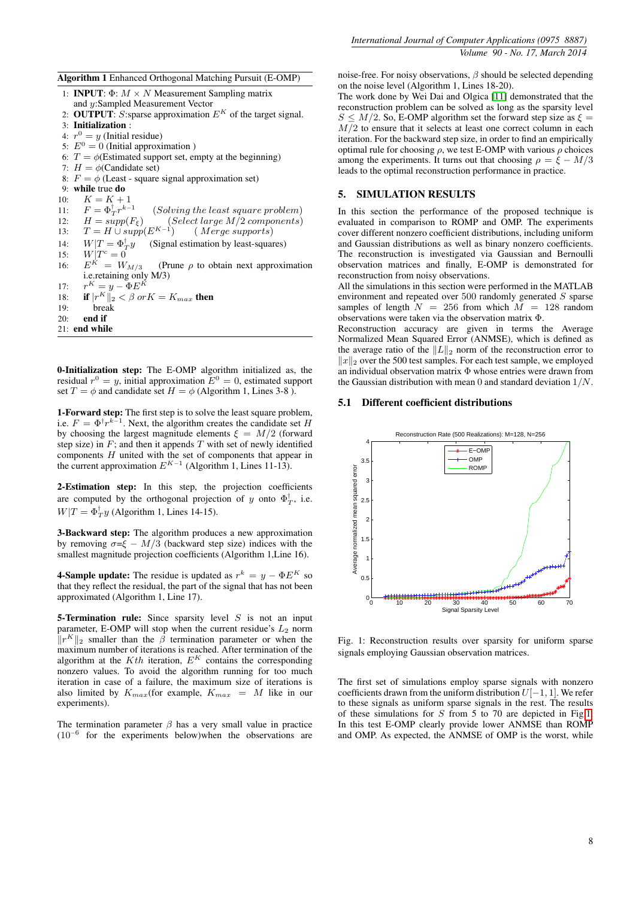Algorithm 1 Enhanced Orthogonal Matching Pursuit (E-OMP)

- 1: **INPUT**:  $\Phi$ :  $M \times N$  Measurement Sampling matrix and y:Sampled Measurement Vector
- 2: OUTPUT: S: sparse approximation  $E^K$  of the target signal.
- 3: Initialization :
- 4:  $r^0 = y$  (Initial residue)
- 5:  $E^0 = 0$  (Initial approximation)
- 6:  $T = \phi$ (Estimated support set, empty at the beginning)
- 7:  $H = \phi$ (Candidate set)
- 8:  $F = \phi$  (Least square signal approximation set)
- 9: while true do

10:  $K = K + 1$ 11:  $F = \Phi_T^{\dagger} r^{k-1}$ (Solving the least square problem)

12:  $H = supp(F_{\xi})$  (Select large M/2 components)<br>13:  $T = H \cup supp(F_{\xi}^{K-1})$  (Merge sumports)

- $T = H \cup supp(E^{K-1})$ ) ( Merge supports)
- 14:  $W|T = \Phi_T^{\dagger}$ (Signal estimation by least-squares)
- 15:  $W|T^c = 0$ 16:  $E^{K} = W_{M/3}$  (Prune  $\rho$  to obtain next approximation
- i.e.retaining only M/3)  $r^K = y - \Phi E^K$
- $\frac{17}{18}$ 18: if  $|r^K||_2 < \beta$  or  $K = K_{max}$  then
- 19: break
- $20<sup>°</sup>$  end if
- 21: end while

0-Initialization step: The E-OMP algorithm initialized as, the residual  $r^0 = y$ , initial approximation  $E^0 = 0$ , estimated support set  $T = \phi$  and candidate set  $H = \phi$  (Algorithm 1, Lines 3-8).

1-Forward step: The first step is to solve the least square problem, i.e.  $F = \Phi^{\dagger} r^{k-1}$ . Next, the algorithm creates the candidate set H by choosing the largest magnitude elements  $\xi = M/2$  (forward step size) in  $F$ ; and then it appends  $T$  with set of newly identified components H united with the set of components that appear in the current approximation  $E^{K-1}$  (Algorithm 1, Lines 11-13).

2-Estimation step: In this step, the projection coefficients are computed by the orthogonal projection of y onto  $\Phi_T^{\dagger}$ , i.e.  $W|T = \Phi_T^{\dagger} y$  (Algorithm 1, Lines 14-15).

3-Backward step: The algorithm produces a new approximation by removing  $\sigma = \xi - M/3$  (backward step size) indices with the smallest magnitude projection coefficients (Algorithm 1,Line 16).

**4-Sample update:** The residue is updated as  $r^k = y - \Phi E^K$  so that they reflect the residual, the part of the signal that has not been approximated (Algorithm 1, Line 17).

**5-Termination rule:** Since sparsity level  $S$  is not an input parameter, E-OMP will stop when the current residue's  $L_2$  norm  $\|r^K\|_2$  smaller than the  $\beta$  termination parameter or when the maximum number of iterations is reached. After termination of the algorithm at the  $Kth$  iteration,  $E^{K}$  contains the corresponding nonzero values. To avoid the algorithm running for too much iteration in case of a failure, the maximum size of iterations is also limited by  $K_{max}$ (for example,  $K_{max} = M$  like in our experiments).

The termination parameter  $\beta$  has a very small value in practice (10<sup>−</sup><sup>6</sup> for the experiments below)when the observations are

noise-free. For noisy observations,  $\beta$  should be selected depending on the noise level (Algorithm 1, Lines 18-20).

The work done by Wei Dai and Olgica [\[11\]](#page-6-2) demonstrated that the reconstruction problem can be solved as long as the sparsity level  $S \leq M/2$ . So, E-OMP algorithm set the forward step size as  $\xi =$  $M/2$  to ensure that it selects at least one correct column in each iteration. For the backward step size, in order to find an empirically optimal rule for choosing  $\rho$ , we test E-OMP with various  $\rho$  choices among the experiments. It turns out that choosing  $\rho = \xi - M/3$ leads to the optimal reconstruction performance in practice.

## <span id="page-3-0"></span>5. SIMULATION RESULTS

In this section the performance of the proposed technique is evaluated in comparison to ROMP and OMP. The experiments cover different nonzero coefficient distributions, including uniform and Gaussian distributions as well as binary nonzero coefficients. The reconstruction is investigated via Gaussian and Bernoulli observation matrices and finally, E-OMP is demonstrated for reconstruction from noisy observations.

All the simulations in this section were performed in the MATLAB environment and repeated over 500 randomly generated S sparse samples of length  $N = 256$  from which  $M = 128$  random observations were taken via the observation matrix Φ.

Reconstruction accuracy are given in terms the Average Normalized Mean Squared Error (ANMSE), which is defined as the average ratio of the  $||L||_2$  norm of the reconstruction error to  $||x||_2$  over the 500 test samples. For each test sample, we employed an individual observation matrix Φ whose entries were drawn from the Gaussian distribution with mean 0 and standard deviation 1/N.

#### 5.1 Different coefficient distributions

<span id="page-3-1"></span>

Fig. 1: Reconstruction results over sparsity for uniform sparse signals employing Gaussian observation matrices.

The first set of simulations employ sparse signals with nonzero coefficients drawn from the uniform distribution  $U[-1, 1]$ . We refer to these signals as uniform sparse signals in the rest. The results of these simulations for  $S$  from  $5$  to  $70$  are depicted in Fig[.1.](#page-3-1) In this test E-OMP clearly provide lower ANMSE than ROMP and OMP. As expected, the ANMSE of OMP is the worst, while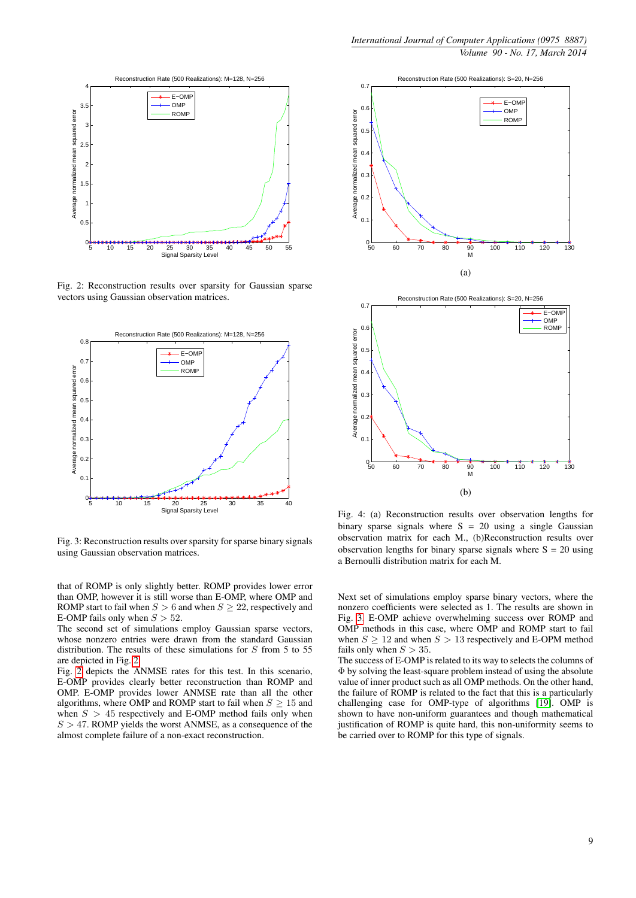<span id="page-4-0"></span>

Fig. 2: Reconstruction results over sparsity for Gaussian sparse vectors using Gaussian observation matrices.

<span id="page-4-1"></span>

Fig. 3: Reconstruction results over sparsity for sparse binary signals using Gaussian observation matrices.

that of ROMP is only slightly better. ROMP provides lower error than OMP, however it is still worse than E-OMP, where OMP and ROMP start to fail when  $S > 6$  and when  $S \geq 22$ , respectively and E-OMP fails only when  $S > 52$ .

The second set of simulations employ Gaussian sparse vectors, whose nonzero entries were drawn from the standard Gaussian distribution. The results of these simulations for  $S$  from 5 to 55 are depicted in Fig. [2.](#page-4-0)

Fig. [2](#page-4-0) depicts the ANMSE rates for this test. In this scenario, E-OMP provides clearly better reconstruction than ROMP and OMP. E-OMP provides lower ANMSE rate than all the other algorithms, where OMP and ROMP start to fail when  $S \geq 15$  and when  $S > 45$  respectively and E-OMP method fails only when  $S > 47$ . ROMP yields the worst ANMSE, as a consequence of the almost complete failure of a non-exact reconstruction.

<span id="page-4-2"></span>



<span id="page-4-3"></span>Fig. 4: (a) Reconstruction results over observation lengths for binary sparse signals where  $S = 20$  using a single Gaussian observation matrix for each M., (b)Reconstruction results over observation lengths for binary sparse signals where  $S = 20$  using a Bernoulli distribution matrix for each M.

Next set of simulations employ sparse binary vectors, where the nonzero coefficients were selected as 1. The results are shown in Fig. [3.](#page-4-1) E-OMP achieve overwhelming success over ROMP and OMP methods in this case, where OMP and ROMP start to fail when  $S \ge 12$  and when  $S > 13$  respectively and E-OPM method fails only when  $S > 35$ .

The success of E-OMP is related to its way to selects the columns of Φ by solving the least-square problem instead of using the absolute value of inner product such as all OMP methods. On the other hand, the failure of ROMP is related to the fact that this is a particularly challenging case for OMP-type of algorithms [\[19\]](#page-6-10). OMP is shown to have non-uniform guarantees and though mathematical justification of ROMP is quite hard, this non-uniformity seems to be carried over to ROMP for this type of signals.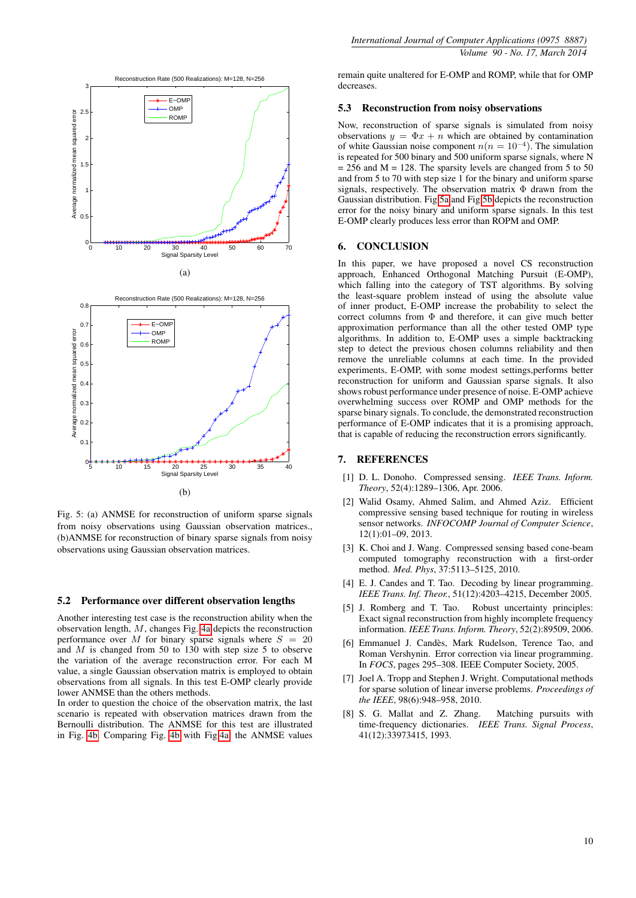<span id="page-5-9"></span>

<span id="page-5-10"></span>Fig. 5: (a) ANMSE for reconstruction of uniform sparse signals from noisy observations using Gaussian observation matrices., (b)ANMSE for reconstruction of binary sparse signals from noisy observations using Gaussian observation matrices.

#### 5.2 Performance over different observation lengths

Another interesting test case is the reconstruction ability when the observation length, M, changes Fig. [4a](#page-4-2) depicts the reconstruction performance over M for binary sparse signals where  $S = 20$ and  $M$  is changed from 50 to 130 with step size 5 to observe the variation of the average reconstruction error. For each M value, a single Gaussian observation matrix is employed to obtain observations from all signals. In this test E-OMP clearly provide lower ANMSE than the others methods.

In order to question the choice of the observation matrix, the last scenario is repeated with observation matrices drawn from the Bernoulli distribution. The ANMSE for this test are illustrated in Fig. [4b.](#page-4-3) Comparing Fig. [4b](#page-4-3) with Fig[.4a,](#page-4-2) the ANMSE values

remain quite unaltered for E-OMP and ROMP, while that for OMP decreases.

#### 5.3 Reconstruction from noisy observations

Now, reconstruction of sparse signals is simulated from noisy observations  $y = \Phi x + n$  which are obtained by contamination of white Gaussian noise component  $n(n = 10^{-4})$ . The simulation is repeated for 500 binary and 500 uniform sparse signals, where N  $= 256$  and M = 128. The sparsity levels are changed from 5 to 50 and from 5 to 70 with step size 1 for the binary and uniform sparse signals, respectively. The observation matrix Φ drawn from the Gaussian distribution. Fig[.5a](#page-5-9) and Fig[.5b](#page-5-10) depicts the reconstruction error for the noisy binary and uniform sparse signals. In this test E-OMP clearly produces less error than ROPM and OMP.

#### <span id="page-5-8"></span>6. CONCLUSION

In this paper, we have proposed a novel CS reconstruction approach, Enhanced Orthogonal Matching Pursuit (E-OMP), which falling into the category of TST algorithms. By solving the least-square problem instead of using the absolute value of inner product, E-OMP increase the probability to select the correct columns from  $\Phi$  and therefore, it can give much better approximation performance than all the other tested OMP type algorithms. In addition to, E-OMP uses a simple backtracking step to detect the previous chosen columns reliability and then remove the unreliable columns at each time. In the provided experiments, E-OMP, with some modest settings,performs better reconstruction for uniform and Gaussian sparse signals. It also shows robust performance under presence of noise. E-OMP achieve overwhelming success over ROMP and OMP methods for the sparse binary signals. To conclude, the demonstrated reconstruction performance of E-OMP indicates that it is a promising approach, that is capable of reducing the reconstruction errors significantly.

#### 7. REFERENCES

- <span id="page-5-0"></span>[1] D. L. Donoho. Compressed sensing. *IEEE Trans. Inform. Theory*, 52(4):1289–1306, Apr. 2006.
- <span id="page-5-1"></span>[2] Walid Osamy, Ahmed Salim, and Ahmed Aziz. Efficient compressive sensing based technique for routing in wireless sensor networks. *INFOCOMP Journal of Computer Science*, 12(1):01–09, 2013.
- <span id="page-5-2"></span>[3] K. Choi and J. Wang. Compressed sensing based cone-beam computed tomography reconstruction with a first-order method. *Med. Phys*, 37:5113–5125, 2010.
- <span id="page-5-3"></span>[4] E. J. Candes and T. Tao. Decoding by linear programming. *IEEE Trans. Inf. Theor.*, 51(12):4203–4215, December 2005.
- <span id="page-5-4"></span>[5] J. Romberg and T. Tao. Robust uncertainty principles: Exact signal reconstruction from highly incomplete frequency information. *IEEE Trans. Inform. Theory*, 52(2):89509, 2006.
- <span id="page-5-5"></span>[6] Emmanuel J. Candès, Mark Rudelson, Terence Tao, and Roman Vershynin. Error correction via linear programming. In *FOCS*, pages 295–308. IEEE Computer Society, 2005.
- <span id="page-5-6"></span>[7] Joel A. Tropp and Stephen J. Wright. Computational methods for sparse solution of linear inverse problems. *Proceedings of the IEEE*, 98(6):948–958, 2010.
- <span id="page-5-7"></span>[8] S. G. Mallat and Z. Zhang. Matching pursuits with time-frequency dictionaries. *IEEE Trans. Signal Process*, 41(12):33973415, 1993.